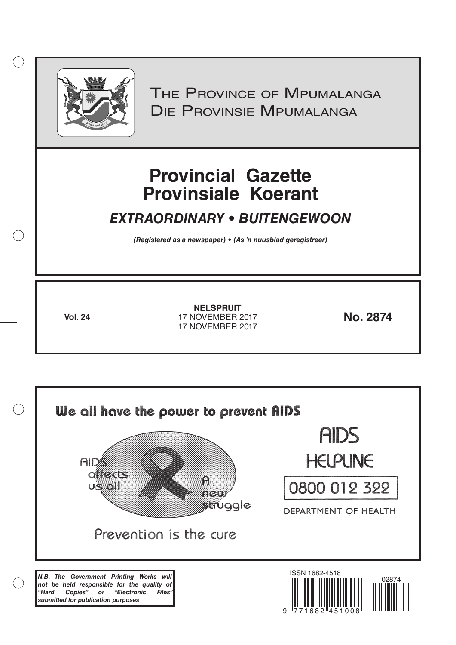

 $( )$ 

THE PROVINCE OF MPUMALANGA Die Provinsie Mpumalanga

# **Provincial Gazette Provinsiale Koerant**

# *EXTRAORDINARY • BUITENGEWOON*

*(Registered as a newspaper) • (As 'n nuusblad geregistreer)*

**Vol. 24 No. 2874** 17 NOVEMBER 2017 **NELSPRUIT** 17 NOVEMBER 2017

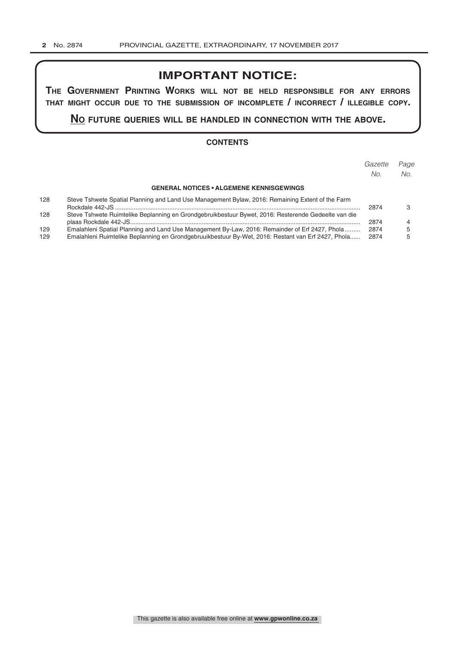## **IMPORTANT NOTICE:**

**The GovernmenT PrinTinG Works Will noT be held resPonsible for any errors ThaT miGhT occur due To The submission of incomPleTe / incorrecT / illeGible coPy.**

**no fuTure queries Will be handled in connecTion WiTh The above.**

#### **CONTENTS**

|            |                                                                                                                                                                                                      | Gazette<br>No. | Page<br>No. |
|------------|------------------------------------------------------------------------------------------------------------------------------------------------------------------------------------------------------|----------------|-------------|
|            |                                                                                                                                                                                                      |                |             |
|            | <b>GENERAL NOTICES • ALGEMENE KENNISGEWINGS</b>                                                                                                                                                      |                |             |
| 128        | Steve Tshwete Spatial Planning and Land Use Management Bylaw, 2016: Remaining Extent of the Farm                                                                                                     | 2874           |             |
| 128        | Steve Tshwete Ruimtelike Beplanning en Grondgebruikbestuur Bywet, 2016: Resterende Gedeelte van die                                                                                                  | 2874           | 4           |
| 129<br>129 | Emalahleni Spatial Planning and Land Use Management By-Law, 2016: Remainder of Erf 2427, Phola<br>Emalahleni Ruimtelike Beplanning en Grondgebruuikbestuur By-Wet, 2016: Restant van Erf 2427, Phola | 2874<br>2874   | 5<br>5      |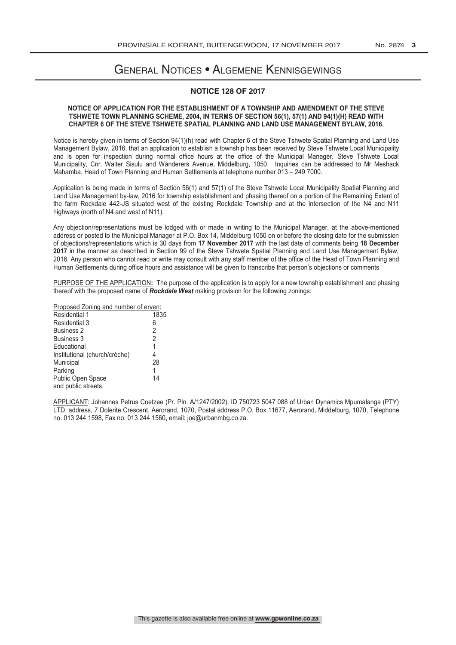### General Notices • Algemene Kennisgewings

#### **NOTICE 128 OF 2017**

#### **NOTICE OF APPLICATION FOR THE ESTABLISHMENT OF A TOWNSHIP AND AMENDMENT OF THE STEVE TSHWETE TOWN PLANNING SCHEME, 2004, IN TERMS OF SECTION 56(1), 57(1) AND 94(1)(H) READ WITH CHAPTER 6 OF THE STEVE TSHWETE SPATIAL PLANNING AND LAND USE MANAGEMENT BYLAW, 2016.**

Notice is hereby given in terms of Section 94(1)(h) read with Chapter 6 of the Steve Tshwete Spatial Planning and Land Use Management Bylaw, 2016, that an application to establish a township has been received by Steve Tshwete Local Municipality and is open for inspection during normal office hours at the office of the Municipal Manager, Steve Tshwete Local Municipality, Cnr. Walter Sisulu and Wanderers Avenue, Middelburg, 1050. Inquiries can be addressed to Mr Meshack Mahamba, Head of Town Planning and Human Settlements at telephone number 013 – 249 7000.

Application is being made in terms of Section 56(1) and 57(1) of the Steve Tshwete Local Municipality Spatial Planning and Land Use Management by-law, 2016 for township establishment and phasing thereof on a portion of the Remaining Extent of the farm Rockdale 442-JS situated west of the existing Rockdale Township and at the intersection of the N4 and N11 highways (north of N4 and west of N11).

Any objection/representations must be lodged with or made in writing to the Municipal Manager, at the above-mentioned address or posted to the Municipal Manager at P.O. Box 14, Middelburg 1050 on or before the closing date for the submission of objections/representations which is 30 days from **17 November 2017** with the last date of comments being **18 December 2017** in the manner as described in Section 99 of the Steve Tshwete Spatial Planning and Land Use Management Bylaw, 2016. Any person who cannot read or write may consult with any staff member of the office of the Head of Town Planning and Human Settlements during office hours and assistance will be given to transcribe that person's objections or comments

PURPOSE OF THE APPLICATION**:** The purpose of the application is to apply for a new township establishment and phasing thereof with the proposed name of *Rockdale West* making provision for the following zonings:

Proposed Zoning and number of erven: Residential 1<br>Residential 3 6 Residential 3 Business 2 2 Business 3 2 Educational 1 Institutional (church/crèche) 4 Municipal 28 Parking 1 Public Open Space 14 and public streets.

APPLICANT: Johannes Petrus Coetzee (Pr. Pln. A/1247/2002), ID 750723 5047 088 of Urban Dynamics Mpumalanga (PTY) LTD, address, 7 Dolerite Crescent, Aerorand, 1070, Postal address P.O. Box 11677, Aerorand, Middelburg, 1070, Telephone no. 013 244 1598, Fax no: 013 244 1560, email: joe@urbanmbg.co.za.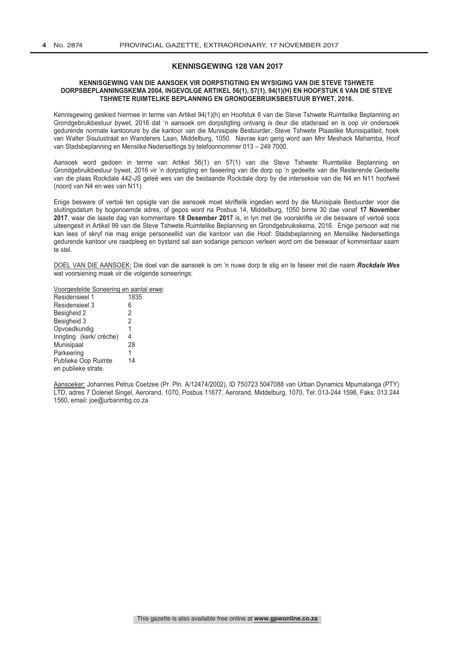#### **KENNISGEWING 128 VAN 2017**

#### **KENNISGEWING VAN DIE AANSOEK VIR DORPSTIGTING EN WYSIGING VAN DIE STEVE TSHWETE DORPSBEPLANNINGSKEMA 2004, INGEVOLGE ARTIKEL 56(1), 57(1), 94(1)(H) EN HOOFSTUK 6 VAN DIE STEVE TSHWETE RUIMTELIKE BEPLANNING EN GRONDGEBRUIKSBESTUUR BYWET, 2016.**

Kennisgewing geskied hiermee in terme van Artikel 94(1)(h) en Hoofstuk 6 van die Steve Tshwete Ruimtelike Beplanning en Grondgebruikbestuur bywet, 2016 dat 'n aansoek om dorpstigting ontvang is deur die stadsraad en is oop vir ondersoek gedurende normale kantoorure by die kantoor van die Munisipale Bestuurder, Steve Tshwete Plaaslike Munisipaliteit, hoek van Walter Sisulustraat en Wanderers Laan, Middelburg, 1050. Navrae kan gerig word aan Mnr Meshack Mahamba, Hoof van Stadsbeplanning en Menslike Nedersettings by telefoonnommer 013 – 249 7000.

Aansoek word gedoen in terme van Artikel 56(1) en 57(1) van die Steve Tshwete Ruimtelike Beplanning en Grondgebruikbestuur bywet, 2016 vir 'n dorpstigting en faseering van die dorp op 'n gedeelte van die Resterende Gedeelte van die plaas Rockdale 442-JS geleë wes van die bestaande Rockdale dorp by die interseksie van die N4 en N11 hoofweë (noord van N4 en wes van N11).

Enige besware of vertoë ten opsigte van die aansoek moet skriftelik ingedien word by die Munisipale Bestuurder voor die sluitingsdatum by bogenoemde adres, of gepos word na Posbus 14, Middelburg, 1050 binne 30 dae vanaf **17 November 2017**, waar die laaste dag van kommentare **18 Desember 2017** is, in lyn met die voorskrifte vir die besware of vertoë soos uiteengesit in Artikel 99 van die Steve Tshwete Ruimtelike Beplanning en Grondgebruikskema, 2016. Enige persoon wat nie kan lees of skryf nie mag enige personeellid van die kantoor van die Hoof: Stadsbeplanning en Menslike Nedersettings gedurende kantoor ure raadpleeg en bystand sal aan sodanige persoon verleen word om die beswaar of kommentaar saam te stel.

DOEL VAN DIE AANSOEK: Die doel van die aansoek is om 'n nuwe dorp te stig en te faseer met die naam *Rockdale Wes* wat voorsiening maak vir die volgende soneerings:

Voorgestelde Soneering en aantal erwe:

| Residensieel 1          | 1835           |
|-------------------------|----------------|
| Residensieel 3          | 6              |
| Besigheid 2             | 2              |
| Besigheid 3             | $\overline{2}$ |
| Opvoedkundig            | 1              |
| Inrigting (kerk/crèche) | 4              |
| Munisipaal              | 28             |
| Parkeering              | 1              |
| Publieke Oop Ruimte     | 14             |
| en publieke strate.     |                |
|                         |                |

Aansoeker: Johannes Petrus Coetzee (Pr. Pln. A/12474/2002), ID 750723 5047088 van Urban Dynamics Mpumalanga (PTY) LTD, adres 7 Doleriet Singel, Aerorand, 1070, Posbus 11677, Aerorand, Middelburg, 1070, Tel: 013-244 1598, Faks: 013 244 1560, email: joe@urbanmbg.co.za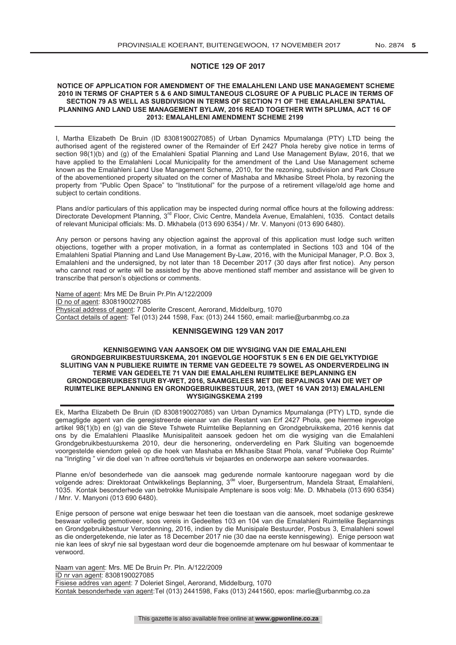#### **NOTICE 129 OF 2017**

#### **NOTICE OF APPLICATION FOR AMENDMENT OF THE EMALAHLENI LAND USE MANAGEMENT SCHEME 2010 IN TERMS OF CHAPTER 5 & 6 AND SIMULTANEOUS CLOSURE OF A PUBLIC PLACE IN TERMS OF SECTION 79 AS WELL AS SUBDIVISION IN TERMS OF SECTION 71 OF THE EMALAHLENI SPATIAL PLANNING AND LAND USE MANAGEMENT BYLAW, 2016 READ TOGETHER WITH SPLUMA, ACT 16 OF 2013: EMALAHLENI AMENDMENT SCHEME 2199**

I, Martha Elizabeth De Bruin (ID 8308190027085) of Urban Dynamics Mpumalanga (PTY) LTD being the authorised agent of the registered owner of the Remainder of Erf 2427 Phola hereby give notice in terms of section 98(1)(b) and (g) of the Emalahleni Spatial Planning and Land Use Management Bylaw, 2016, that we have applied to the Emalahleni Local Municipality for the amendment of the Land Use Management scheme known as the Emalahleni Land Use Management Scheme, 2010, for the rezoning, subdivision and Park Closure of the abovementioned property situated on the corner of Mashaba and Mkhasibe Street Phola, by rezoning the property from "Public Open Space" to "Institutional" for the purpose of a retirement village/old age home and subject to certain conditions.

Plans and/or particulars of this application may be inspected during normal office hours at the following address: Directorate Development Planning, 3<sup>rd</sup> Floor, Civic Centre, Mandela Avenue, Emalahleni, 1035. Contact details of relevant Municipal officials: Ms. D. Mkhabela (013 690 6354) / Mr. V. Manyoni (013 690 6480).

Any person or persons having any objection against the approval of this application must lodge such written objections, together with a proper motivation, in a format as contemplated in Sections 103 and 104 of the Emalahleni Spatial Planning and Land Use Management By-Law, 2016, with the Municipal Manager, P.O. Box 3, Emalahleni and the undersigned, by not later than 18 December 2017 (30 days after first notice). Any person who cannot read or write will be assisted by the above mentioned staff member and assistance will be given to transcribe that person's objections or comments.

Name of agent: Mrs ME De Bruin Pr.Pln A/122/2009 ID no of agent: 8308190027085 Physical address of agent: 7 Dolerite Crescent, Aerorand, Middelburg, 1070 Contact details of agent: Tel (013) 244 1598, Fax: (013) 244 1560, email: marlie@urbanmbg.co.za

#### **KENNISGEWING 129 VAN 2017**

#### **KENNISGEWING VAN AANSOEK OM DIE WYSIGING VAN DIE EMALAHLENI GRONDGEBRUIKBESTUURSKEMA, 201 INGEVOLGE HOOFSTUK 5 EN 6 EN DIE GELYKTYDIGE SLUITING VAN N PUBLIEKE RUIMTE IN TERME VAN GEDEELTE 79 SOWEL AS ONDERVERDELING IN TERME VAN GEDEELTE 71 VAN DIE EMALAHLENI RUIMTELIKE BEPLANNING EN GRONDGEBRUIKBESTUUR BY-WET, 2016, SAAMGELEES MET DIE BEPALINGS VAN DIE WET OP RUIMTELIKE BEPLANNING EN GRONDGEBRUIKBESTUUR, 2013, (WET 16 VAN 2013) EMALAHLENI WYSIGINGSKEMA 2199**

Ek, Martha Elizabeth De Bruin (ID 8308190027085) van Urban Dynamics Mpumalanga (PTY) LTD, synde die gemagtigde agent van die geregistreerde eienaar van die Restant van Erf 2427 Phola, gee hiermee ingevolge artikel 98(1)(b) en (g) van die Steve Tshwete Ruimtelike Beplanning en Grondgebruikskema, 2016 kennis dat ons by die Emalahleni Plaaslike Munisipaliteit aansoek gedoen het om die wysiging van die Emalahleni Grondgebruikbestuurskema 2010, deur die hersonering, onderverdeling en Park Sluiting van bogenoemde voorgestelde eiendom geleë op die hoek van Mashaba en Mkhasibe Staat Phola, vanaf "Publieke Oop Ruimte" na "Inrigting " vir die doel van 'n aftree oord/tehuis vir bejaardes en onderworpe aan sekere voorwaardes.

Planne en/of besonderhede van die aansoek mag gedurende normale kantoorure nagegaan word by die volgende adres: Direktoraat Ontwikkelings Beplanning, 3<sup>de</sup> vloer, Burgersentrum, Mandela Straat, Emalahleni, 1035. Kontak besonderhede van betrokke Munisipale Amptenare is soos volg: Me. D. Mkhabela (013 690 6354) / Mnr. V. Manyoni (013 690 6480).

Enige persoon of persone wat enige beswaar het teen die toestaan van die aansoek, moet sodanige geskrewe beswaar volledig gemotiveer, soos vereis in Gedeeltes 103 en 104 van die Emalahleni Ruimtelike Beplannings en Grondgebruikbestuur Verordenning, 2016, indien by die Munisipale Bestuurder, Posbus 3, Emalahleni sowel as die ondergetekende, nie later as 18 December 2017 nie (30 dae na eerste kennisgewing). Enige persoon wat nie kan lees of skryf nie sal bygestaan word deur die bogenoemde amptenare om hul beswaar of kommentaar te verwoord.

Naam van agent: Mrs. ME De Bruin Pr. Pln. A/122/2009 ID nr van agent: 8308190027085 Fisiese addres van agent: 7 Doleriet Singel, Aerorand, Middelburg, 1070 Kontak besonderhede van agent:Tel (013) 2441598, Faks (013) 2441560, epos: marlie@urbanmbg.co.za

This gazette is also available free online at **www.gpwonline.co.za**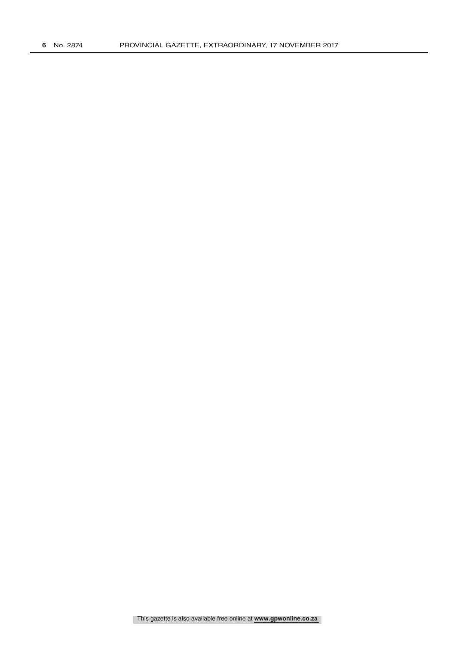This gazette is also available free online at **www.gpwonline.co.za**